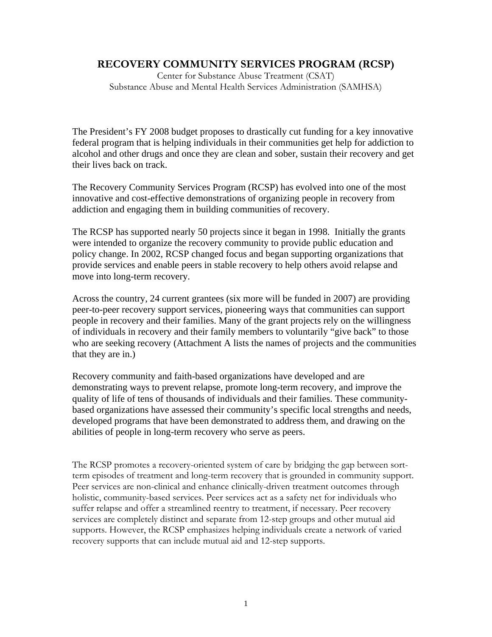# **RECOVERY COMMUNITY SERVICES PROGRAM (RCSP)**

Center for Substance Abuse Treatment (CSAT) Substance Abuse and Mental Health Services Administration (SAMHSA)

The President's FY 2008 budget proposes to drastically cut funding for a key innovative federal program that is helping individuals in their communities get help for addiction to alcohol and other drugs and once they are clean and sober, sustain their recovery and get their lives back on track.

The Recovery Community Services Program (RCSP) has evolved into one of the most innovative and cost-effective demonstrations of organizing people in recovery from addiction and engaging them in building communities of recovery.

The RCSP has supported nearly 50 projects since it began in 1998. Initially the grants were intended to organize the recovery community to provide public education and policy change. In 2002, RCSP changed focus and began supporting organizations that provide services and enable peers in stable recovery to help others avoid relapse and move into long-term recovery.

Across the country, 24 current grantees (six more will be funded in 2007) are providing peer-to-peer recovery support services, pioneering ways that communities can support people in recovery and their families. Many of the grant projects rely on the willingness of individuals in recovery and their family members to voluntarily "give back" to those who are seeking recovery (Attachment A lists the names of projects and the communities that they are in.)

Recovery community and faith-based organizations have developed and are demonstrating ways to prevent relapse, promote long-term recovery, and improve the quality of life of tens of thousands of individuals and their families. These communitybased organizations have assessed their community's specific local strengths and needs, developed programs that have been demonstrated to address them, and drawing on the abilities of people in long-term recovery who serve as peers.

The RCSP promotes a recovery-oriented system of care by bridging the gap between sortterm episodes of treatment and long-term recovery that is grounded in community support. Peer services are non-clinical and enhance clinically-driven treatment outcomes through holistic, community-based services. Peer services act as a safety net for individuals who suffer relapse and offer a streamlined reentry to treatment, if necessary. Peer recovery services are completely distinct and separate from 12-step groups and other mutual aid supports. However, the RCSP emphasizes helping individuals create a network of varied recovery supports that can include mutual aid and 12-step supports.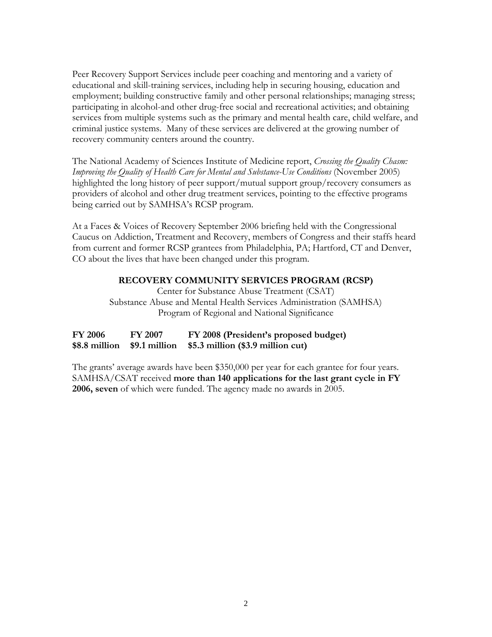Peer Recovery Support Services include peer coaching and mentoring and a variety of educational and skill-training services, including help in securing housing, education and employment; building constructive family and other personal relationships; managing stress; participating in alcohol-and other drug-free social and recreational activities; and obtaining services from multiple systems such as the primary and mental health care, child welfare, and criminal justice systems. Many of these services are delivered at the growing number of recovery community centers around the country.

The National Academy of Sciences Institute of Medicine report, *Crossing the Quality Chasm: Improving the Quality of Health Care for Mental and Substance-Use Conditions* (November 2005) highlighted the long history of peer support/mutual support group/recovery consumers as providers of alcohol and other drug treatment services, pointing to the effective programs being carried out by SAMHSA's RCSP program.

At a Faces & Voices of Recovery September 2006 briefing held with the Congressional Caucus on Addiction, Treatment and Recovery, members of Congress and their staffs heard from current and former RCSP grantees from Philadelphia, PA; Hartford, CT and Denver, CO about the lives that have been changed under this program.

## **RECOVERY COMMUNITY SERVICES PROGRAM (RCSP)**

Center for Substance Abuse Treatment (CSAT) Substance Abuse and Mental Health Services Administration (SAMHSA) Program of Regional and National Significance

| <b>FY 2006</b> | <b>FY 2007</b> | FY 2008 (President's proposed budget)                            |
|----------------|----------------|------------------------------------------------------------------|
|                |                | $$8.8$ million $$9.1$ million $$5.3$ million $$3.9$ million cut) |

The grants' average awards have been \$350,000 per year for each grantee for four years. SAMHSA/CSAT received **more than 140 applications for the last grant cycle in FY 2006, seven** of which were funded. The agency made no awards in 2005.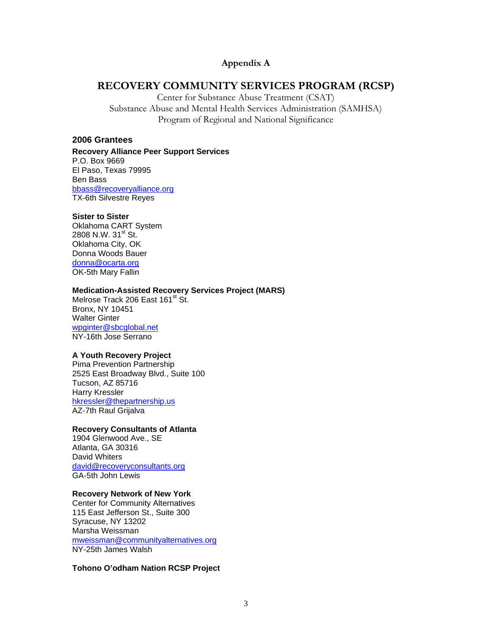## **Appendix A**

# **RECOVERY COMMUNITY SERVICES PROGRAM (RCSP)**

Center for Substance Abuse Treatment (CSAT) Substance Abuse and Mental Health Services Administration (SAMHSA) Program of Regional and National Significance

## **2006 Grantees**

**Recovery Alliance Peer Support Services**  P.O. Box 9669 El Paso, Texas 79995 Ben Bass bbass@recoveryalliance.org TX-6th Silvestre Reyes

#### **Sister to Sister**

Oklahoma CART System 2808 N.W. 31<sup>st</sup> St. Oklahoma City, OK Donna Woods Bauer donna@ocarta.org OK-5th Mary Fallin

## **Medication-Assisted Recovery Services Project (MARS)**

Melrose Track 206 East 161<sup>st</sup> St. Bronx, NY 10451 Walter Ginter wpginter@sbcglobal.net NY-16th Jose Serrano

## **A Youth Recovery Project**

Pima Prevention Partnership 2525 East Broadway Blvd., Suite 100 Tucson, AZ 85716 Harry Kressler hkressler@thepartnership.us AZ-7th Raul Grijalva

## **Recovery Consultants of Atlanta**

1904 Glenwood Ave., SE Atlanta, GA 30316 David Whiters david@recoveryconsultants.org GA-5th John Lewis

#### **Recovery Network of New York**

Center for Community Alternatives 115 East Jefferson St., Suite 300 Syracuse, NY 13202 Marsha Weissman mweissman@communityalternatives.org NY-25th James Walsh

#### **Tohono O'odham Nation RCSP Project**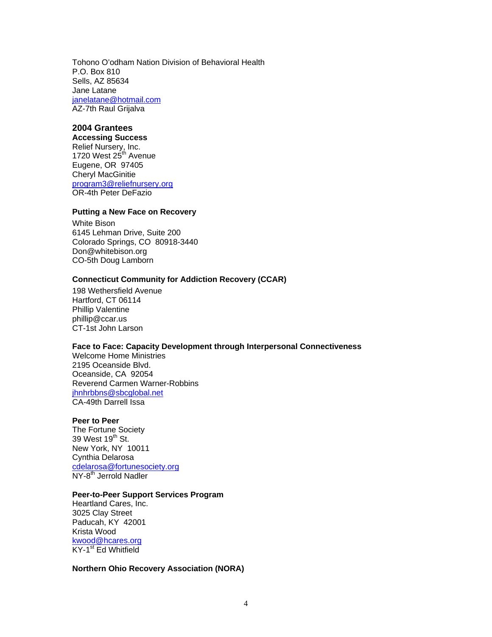Tohono O'odham Nation Division of Behavioral Health P.O. Box 810 Sells, AZ 85634 Jane Latane janelatane@hotmail.com AZ-7th Raul Grijalva

# **2004 Grantees**

## **Accessing Success**

Relief Nursery, Inc. 1720 West 25<sup>th</sup> Avenue Eugene, OR 97405 Cheryl MacGinitie program3@reliefnursery.org OR-4th Peter DeFazio

## **Putting a New Face on Recovery**

White Bison 6145 Lehman Drive, Suite 200 Colorado Springs, CO 80918-3440 Don@whitebison.org CO-5th Doug Lamborn

## **Connecticut Community for Addiction Recovery (CCAR)**

198 Wethersfield Avenue Hartford, CT 06114 Phillip Valentine phillip@ccar.us CT-1st John Larson

#### **Face to Face: Capacity Development through Interpersonal Connectiveness**

Welcome Home Ministries 2195 Oceanside Blvd. Oceanside, CA 92054 Reverend Carmen Warner-Robbins jhnhrbbns@sbcglobal.net CA-49th Darrell Issa

### **Peer to Peer**

The Fortune Society 39 West 19<sup>th</sup> St. New York, NY 10011 Cynthia Delarosa cdelarosa@fortunesociety.org NY-8<sup>th</sup> Jerrold Nadler

#### **Peer-to-Peer Support Services Program**

Heartland Cares, Inc. 3025 Clay Street Paducah, KY 42001 Krista Wood kwood@hcares.org KY-1<sup>st</sup> Ed Whitfield

#### **Northern Ohio Recovery Association (NORA)**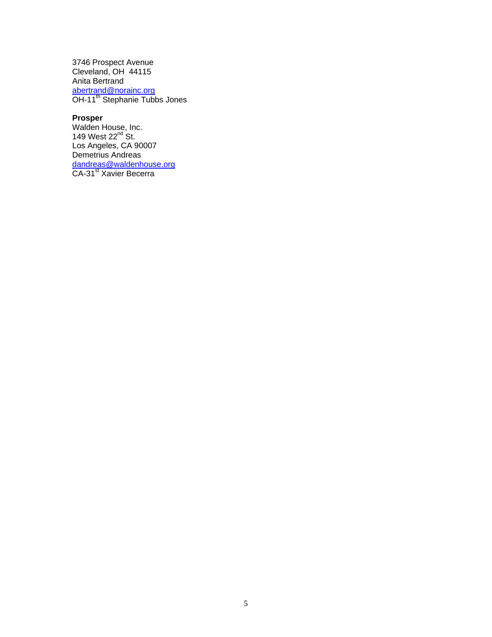3746 Prospect Avenue Cleveland, OH 44115 Anita Bertrand abertrand@norainc.org OH-11<sup>th</sup> Stephanie Tubbs Jones

## **Prosper**

Walden House, Inc. 149 West  $22^{nd}$  St. Los Angeles, CA 90007 Demetrius Andreas dandreas@waldenhouse.org CA-31<sup>st</sup> Xavier Becerra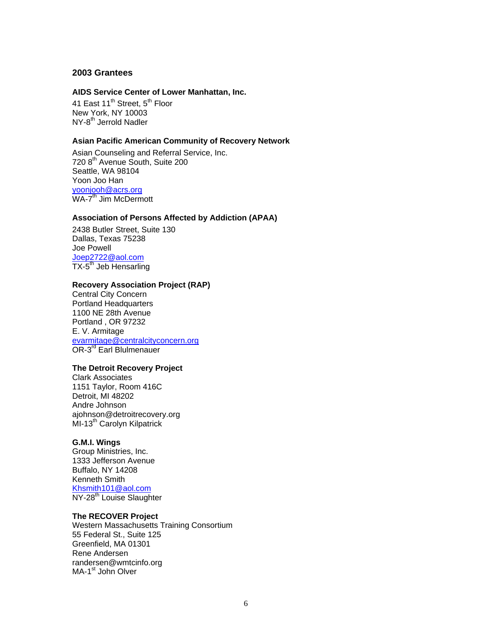## **2003 Grantees**

#### **AIDS Service Center of Lower Manhattan, Inc.**

41 East 11<sup>th</sup> Street, 5<sup>th</sup> Floor New York, NY 10003 NY-8<sup>th</sup> Jerrold Nadler

## **Asian Pacific American Community of Recovery Network**

Asian Counseling and Referral Service, Inc. 720 8<sup>th</sup> Avenue South, Suite 200 Seattle, WA 98104 Yoon Joo Han yoonjooh@acrs.org WA-7<sup>th</sup> Jim McDermott

## **Association of Persons Affected by Addiction (APAA)**

2438 Butler Street, Suite 130 Dallas, Texas 75238 Joe Powell Joep2722@aol.com TX-5<sup>th</sup> Jeb Hensarling

#### **Recovery Association Project (RAP)**

Central City Concern Portland Headquarters 1100 NE 28th Avenue Portland , OR 97232 E. V. Armitage evarmitage@centralcityconcern.org OR-3<sup>rd</sup> Earl Blulmenauer

#### **The Detroit Recovery Project**

Clark Associates 1151 Taylor, Room 416C Detroit, MI 48202 Andre Johnson ajohnson@detroitrecovery.org MI-13<sup>th</sup> Carolyn Kilpatrick

#### **G.M.I. Wings**

Group Ministries, Inc. 1333 Jefferson Avenue Buffalo, NY 14208 Kenneth Smith Khsmith101@aol.com NY-28<sup>th</sup> Louise Slaughter

#### **The RECOVER Project**

Western Massachusetts Training Consortium 55 Federal St., Suite 125 Greenfield, MA 01301 Rene Andersen randersen@wmtcinfo.org MA-1<sup>st</sup> John Olver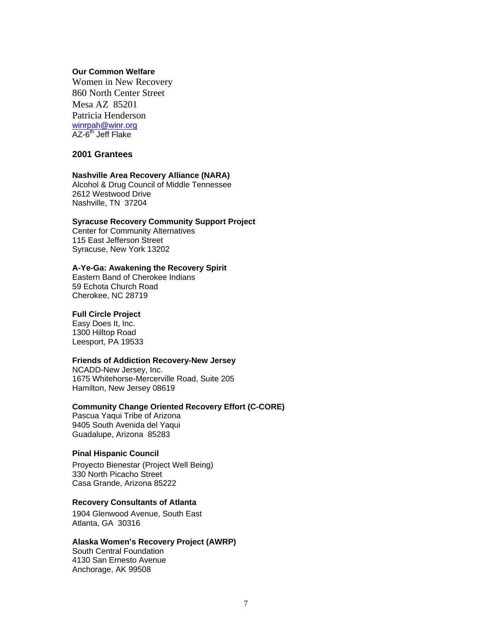### **Our Common Welfare**

Women in New Recovery 860 North Center Street Mesa AZ 85201 Patricia Henderson winrpah@winr.org<br>AZ-6<sup>th</sup> Jeff Flake

## **2001 Grantees**

#### **Nashville Area Recovery Alliance (NARA)**

Alcohol & Drug Council of Middle Tennessee 2612 Westwood Drive Nashville, TN 37204

## **Syracuse Recovery Community Support Project**

Center for Community Alternatives 115 East Jefferson Street Syracuse, New York 13202

#### **A-Ye-Ga: Awakening the Recovery Spirit**

Eastern Band of Cherokee Indians 59 Echota Church Road Cherokee, NC 28719

## **Full Circle Project**

Easy Does It, Inc. 1300 Hilltop Road Leesport, PA 19533

#### **Friends of Addiction Recovery-New Jersey**

NCADD-New Jersey, Inc. 1675 Whitehorse-Mercerville Road, Suite 205 Hamilton, New Jersey 08619

## **Community Change Oriented Recovery Effort (C-CORE)**

Pascua Yaqui Tribe of Arizona 9405 South Avenida del Yaqui Guadalupe, Arizona 85283

## **Pinal Hispanic Council**

Proyecto Bienestar (Project Well Being) 330 North Picacho Street Casa Grande, Arizona 85222

### **Recovery Consultants of Atlanta**

1904 Glenwood Avenue, South East Atlanta, GA 30316

#### **Alaska Women's Recovery Project (AWRP)**

South Central Foundation 4130 San Ernesto Avenue Anchorage, AK 99508